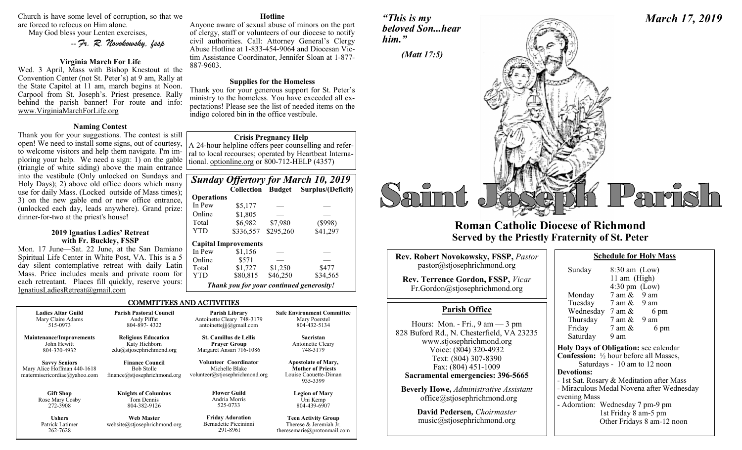Church is have some level of corruption, so that we are forced to refocus on Him alone.

May God bless your Lenten exercises,

-- *Fr. R. Novokowsky, fssp* 

### **Virginia March For Life**

Wed. 3 April, Mass with Bishop Knestout at the Convention Center (not St. Peter's) at 9 am, Rally at the State Capitol at 11 am, march begins at Noon. Carpool from St. Joseph's. Priest presence. Rally behind the parish banner! For route and info: www.VirginiaMarchForLife.org

### **Naming Contest**

Thank you for your suggestions. The contest is still open! We need to install some signs, out of courtesy, to welcome visitors and help them navigate. I'm imploring your help. We need a sign: 1) on the gable (triangle of white siding) above the main entrance into the vestibule (Only unlocked on Sundays and Holy Days); 2) above old office doors which many use for daily Mass. (Locked outside of Mass times); 3) on the new gable end or new office entrance, (unlocked each day, leads anywhere). Grand prize: dinner-for-two at the priest's house!

### **2019 Ignatius Ladies' Retreat with Fr. Buckley, FSSP**

Mon. 17 June—Sat. 22 June, at the San Damiano Spiritual Life Center in White Post, VA. This is a 5 day silent contemplative retreat with daily Latin Mass. Price includes meals and private room for each retreatant. Places fill quickly, reserve yours: IgnatiusLadiesRetreat@gmail.com

262-7628

### **Hotline**

Anyone aware of sexual abuse of minors on the part of clergy, staff or volunteers of our diocese to notify civil authorities. Call: Attorney General's Clergy Abuse Hotline at 1-833-454-9064 and Diocesan Victim Assistance Coordinator, Jennifer Sloan at 1-877- 887-9603.

### **Supplies for the Homeless**

Thank you for your generous support for St. Peter's ministry to the homeless. You have exceeded all expectations! Please see the list of needed items on the indigo colored bin in the office vestibule.

### **Crisis Pregnancy Help**

A 24-hour helpline offers peer counselling and referral to local recourses; operated by Heartbeat International. optionline.org or 800-712-HELP (4357)

### *Sunday Offertory for March 10, 2019*   **Collection Budget Surplus/(Deficit)**

### **Operations**

291-8961

| In Pew                                   | \$5,177   |           |          |
|------------------------------------------|-----------|-----------|----------|
| Online                                   | \$1,805   |           |          |
| Total                                    | \$6,982   | \$7,980   | (\$998)  |
| <b>YTD</b>                               | \$336,557 | \$295,260 | \$41,297 |
| <b>Capital Improvements</b>              |           |           |          |
| In Pew                                   | \$1,156   |           |          |
| Online                                   | \$571     |           |          |
| Total                                    | \$1,727   | \$1,250   | \$477    |
| YTD                                      | \$80,815  | \$46,250  | \$34,565 |
| Thank you for your continued generosity! |           |           |          |

theresemarie@protonmail.com

### COMMITTEES AND ACTIVITIES

| <b>Ladies Altar Guild</b>                                                           | <b>Parish Pastoral Council</b>                                              | Parish Library                                                            | <b>Safe Environment Committee</b>                                                           |
|-------------------------------------------------------------------------------------|-----------------------------------------------------------------------------|---------------------------------------------------------------------------|---------------------------------------------------------------------------------------------|
| Mary Claire Adams                                                                   | Andy Piffat                                                                 | Antoinette Cleary 748-3179                                                | Mary Poerstel                                                                               |
| 515-0973                                                                            | 804-897-4322                                                                | antoinetteijj@gmail.com                                                   | 804-432-5134                                                                                |
| <b>Maintenance/Improvements</b>                                                     | <b>Religious Education</b>                                                  | <b>St. Camillus de Lellis</b>                                             | Sacristan                                                                                   |
| John Hewitt                                                                         | Katy Hichborn                                                               | <b>Prayer Group</b>                                                       | Antoinette Cleary                                                                           |
| 804-320-4932                                                                        | edu@stjosephrichmond.org                                                    | Margaret Ansari 716-1086                                                  | 748-3179                                                                                    |
| <b>Savvy Seniors</b><br>Mary Alice Hoffman 440-1618<br>matermisericordiae@yahoo.com | <b>Finance Council</b><br><b>Bob Stolle</b><br>finance@stjosephrichmond.org | Volunteer Coordinator<br>Michelle Blake<br>volunteer@stjosephrichmond.org | <b>Apostolate of Mary,</b><br><b>Mother of Priests</b><br>Louise Caouette-Diman<br>935-3399 |
| <b>Gift Shop</b>                                                                    | <b>Knights of Columbus</b>                                                  | <b>Flower Guild</b>                                                       | <b>Legion of Mary</b>                                                                       |
| Rose Mary Cosby                                                                     | Tom Dennis                                                                  | Andria Morris                                                             | Uni Kemp                                                                                    |
| 272-3908                                                                            | 804-382-9126                                                                | 525-0733                                                                  | 804-439-6907                                                                                |
| <b>Ushers</b>                                                                       | <b>Web Master</b>                                                           | <b>Friday Adoration</b>                                                   | <b>Teen Activity Group</b>                                                                  |
| Patrick Latimer                                                                     | website@stjosephrichmond.org                                                | Bernadette Piccininni                                                     | Therese & Jeremiah Jr.                                                                      |

### *"This is my beloved Son...hear him."*



## **Roman Catholic Diocese of Richmond Served by the Priestly Fraternity of St. Peter**

| <b>Rev. Robert Novokowsky, FSSP, Pastor</b><br>pastor@stjosephrichmond.org                                                                                                                                                                                                                                       | Sunday                                                                                                                                                     |
|------------------------------------------------------------------------------------------------------------------------------------------------------------------------------------------------------------------------------------------------------------------------------------------------------------------|------------------------------------------------------------------------------------------------------------------------------------------------------------|
| <b>Rev. Terrence Gordon, FSSP, Vicar</b><br>Fr.Gordon@stjosephrichmond.org                                                                                                                                                                                                                                       | Monday                                                                                                                                                     |
| <b>Parish Office</b><br>Hours: Mon. - Fri., $9 \text{ am} - 3 \text{ pm}$<br>828 Buford Rd., N. Chesterfield, VA 23235<br>www.stjosephrichmond.org<br>Voice: (804) 320-4932<br>Text: (804) 307-8390<br>Fax: (804) 451-1009<br>Sacramental emergencies: 396-5665<br><b>Beverly Howe, Administrative Assistant</b> | Tuesday<br>Wednes<br>Thursda<br>Friday<br>Saturday<br><b>Holy Days</b><br><b>Confession:</b><br>Satur<br><b>Devotions:</b><br>- 1st Sat. Rc<br>- Miraculou |
| office@stjosephrichmond.org<br><b>David Pedersen.</b> Choirmaster                                                                                                                                                                                                                                                | evening Ma<br>- Adoration:                                                                                                                                 |

music@stjosephrichmond.org

| Sunday                                                   | $8:30$ am (Low)<br>11 am (High) |                                           |
|----------------------------------------------------------|---------------------------------|-------------------------------------------|
|                                                          | $4:30 \text{ pm}$ (Low)         |                                           |
| Monday                                                   | $7$ am $\&$ 9 am                |                                           |
| Tuesday                                                  | 7 am & 9 am                     |                                           |
| Wednesday $7 \text{ am } \&$                             |                                 | 6 pm                                      |
| Thursday $7 \text{ am } \& 9 \text{ am}$                 |                                 |                                           |
| Friday                                                   | 7 am &                          | 6 pm                                      |
| Saturday                                                 | 9 am                            |                                           |
| <b>Holy Days of Obligation:</b> see calendar             |                                 |                                           |
| <b>Confession:</b> $\frac{1}{2}$ hour before all Masses, |                                 |                                           |
|                                                          |                                 | Saturdays - 10 am to 12 noon              |
| Devotions:                                               |                                 |                                           |
| - 1st Sat. Rosary & Meditation after Mass                |                                 |                                           |
|                                                          |                                 | - Miraculous Medal Novena after Wednesday |

**Schedule for Holy Mass** 

lass on: Wednesday 7 pm-9 pm

1st Friday 8 am-5 pm Other Fridays 8 am-12 noon

# *March 17, 2019*